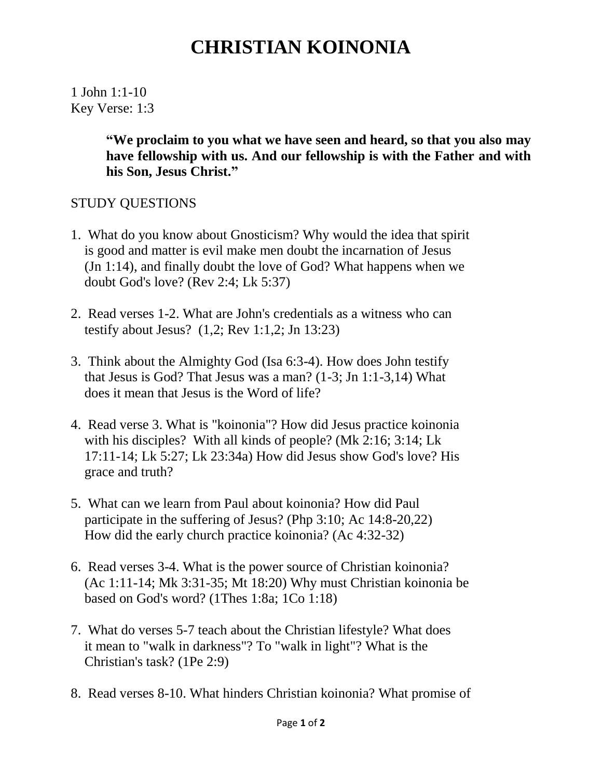## **CHRISTIAN KOINONIA**

1 John 1:1-10 Key Verse: 1:3

> **"We proclaim to you what we have seen and heard, so that you also may have fellowship with us. And our fellowship is with the Father and with his Son, Jesus Christ."**

## STUDY QUESTIONS

- 1. What do you know about Gnosticism? Why would the idea that spirit is good and matter is evil make men doubt the incarnation of Jesus (Jn 1:14), and finally doubt the love of God? What happens when we doubt God's love? (Rev 2:4; Lk 5:37)
- 2. Read verses 1-2. What are John's credentials as a witness who can testify about Jesus? (1,2; Rev 1:1,2; Jn 13:23)
- 3. Think about the Almighty God (Isa 6:3-4). How does John testify that Jesus is God? That Jesus was a man? (1-3; Jn 1:1-3,14) What does it mean that Jesus is the Word of life?
- 4. Read verse 3. What is "koinonia"? How did Jesus practice koinonia with his disciples? With all kinds of people? (Mk 2:16; 3:14; Lk 17:11-14; Lk 5:27; Lk 23:34a) How did Jesus show God's love? His grace and truth?
- 5. What can we learn from Paul about koinonia? How did Paul participate in the suffering of Jesus? (Php 3:10; Ac 14:8-20,22) How did the early church practice koinonia? (Ac 4:32-32)
- 6. Read verses 3-4. What is the power source of Christian koinonia? (Ac 1:11-14; Mk 3:31-35; Mt 18:20) Why must Christian koinonia be based on God's word? (1Thes 1:8a; 1Co 1:18)
- 7. What do verses 5-7 teach about the Christian lifestyle? What does it mean to "walk in darkness"? To "walk in light"? What is the Christian's task? (1Pe 2:9)
- 8. Read verses 8-10. What hinders Christian koinonia? What promise of